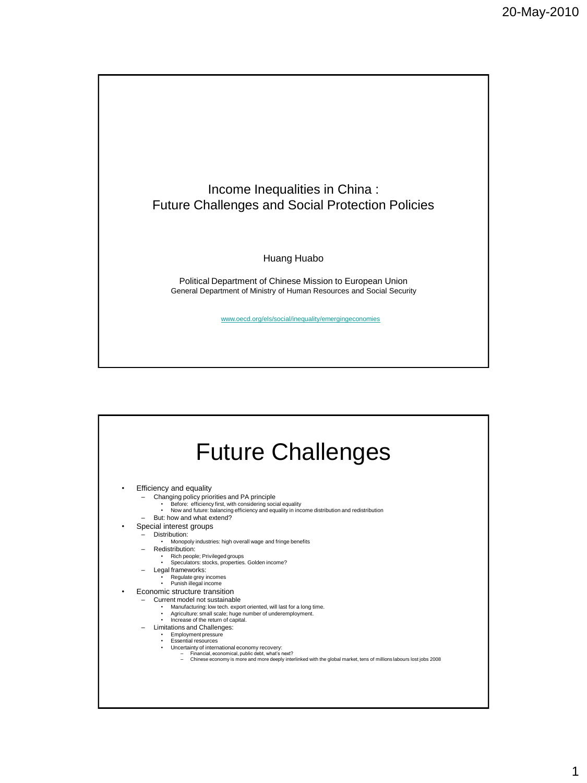

## Huang Huabo

Political Department of Chinese Mission to European Union General Department of Ministry of Human Resources and Social Security

www.oecd.org/els/social/inequality/emergingeconomies

|  | <b>Future Challenges</b> |
|--|--------------------------|
|--|--------------------------|

• Efficiency and equality

- 
- 
- Changing policy priorities and PA principle<br>• Before: efficiency first, with considering social equality<br>• Now and future: balancing efficiency and equality in income distribution and redistribution
- But: how and what extend?
- Special interest groups
	- Distribution:
		- Monopoly industries: high overall wage and fringe benefits
	- Redistribution:
		-
		- Rich people; Privileged groups Speculators: stocks, properties. Golden income?
	- Legal frameworks:
		- Regulate grey incomes Punish illegal income
		-
- Economic structure transition
	- Current model not sustainable
	- Manufacturing: low tech. export oriented, will last for a long time.<br>• Agriculture: small scale; huge number of underemployment.<br>• Increase of the return of capital.<br>– Limitations and Challenges:
		-
	- - Employment pressure Essential resources
		-
		-
		- Uncertainty of international economy recovery: Financial, economical, public debt, what's next? Chinese economy is more and more deeply interlinked with the global market, tens of millions labours lost jobs 2008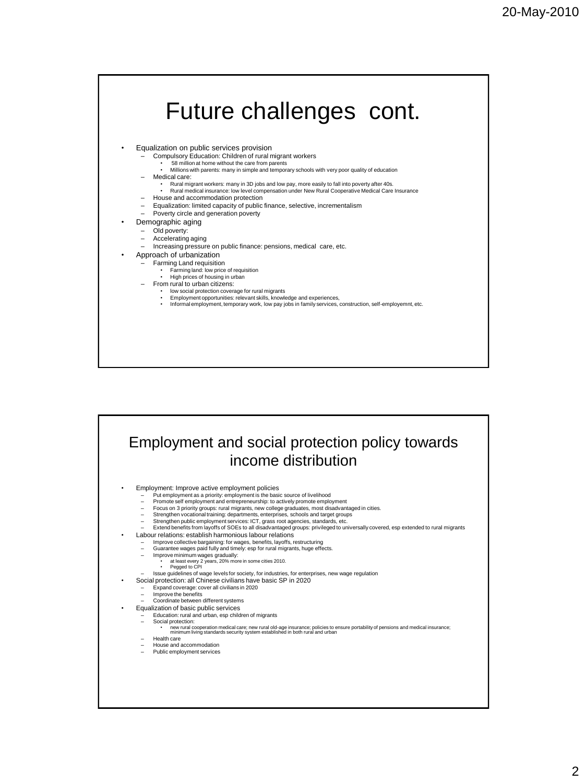|   | Future challenges cont.                                                                                                                                                                               |
|---|-------------------------------------------------------------------------------------------------------------------------------------------------------------------------------------------------------|
|   |                                                                                                                                                                                                       |
|   |                                                                                                                                                                                                       |
| ٠ | Equalization on public services provision                                                                                                                                                             |
|   | Compulsory Education: Children of rural migrant workers                                                                                                                                               |
|   | 58 million at home without the care from parents                                                                                                                                                      |
|   | Millions with parents: many in simple and temporary schools with very poor quality of education                                                                                                       |
|   | Medical care:                                                                                                                                                                                         |
|   | Rural migrant workers: many in 3D jobs and low pay, more easily to fall into poverty after 40s.<br>Rural medical insurance: low level compensation under New Rural Cooperative Medical Care Insurance |
|   | House and accommodation protection                                                                                                                                                                    |
|   | Equalization: limited capacity of public finance, selective, incrementalism                                                                                                                           |
|   | Poverty circle and generation poverty                                                                                                                                                                 |
|   | Demographic aging                                                                                                                                                                                     |
|   | Old poverty:                                                                                                                                                                                          |
|   | Accelerating aging                                                                                                                                                                                    |
|   | Increasing pressure on public finance: pensions, medical care, etc.                                                                                                                                   |
|   | Approach of urbanization                                                                                                                                                                              |
|   | Farming Land requisition                                                                                                                                                                              |
|   | Farming land: low price of requisition<br>High prices of housing in urban                                                                                                                             |
|   | From rural to urban citizens:                                                                                                                                                                         |
|   | low social protection coverage for rural migrants                                                                                                                                                     |
|   | Employment opportunities: relevant skills, knowledge and experiences,<br>Informal employment, temporary work, low pay jobs in family services, construction, self-employemnt, etc.                    |
|   |                                                                                                                                                                                                       |
|   |                                                                                                                                                                                                       |
|   |                                                                                                                                                                                                       |
|   |                                                                                                                                                                                                       |
|   |                                                                                                                                                                                                       |
|   |                                                                                                                                                                                                       |